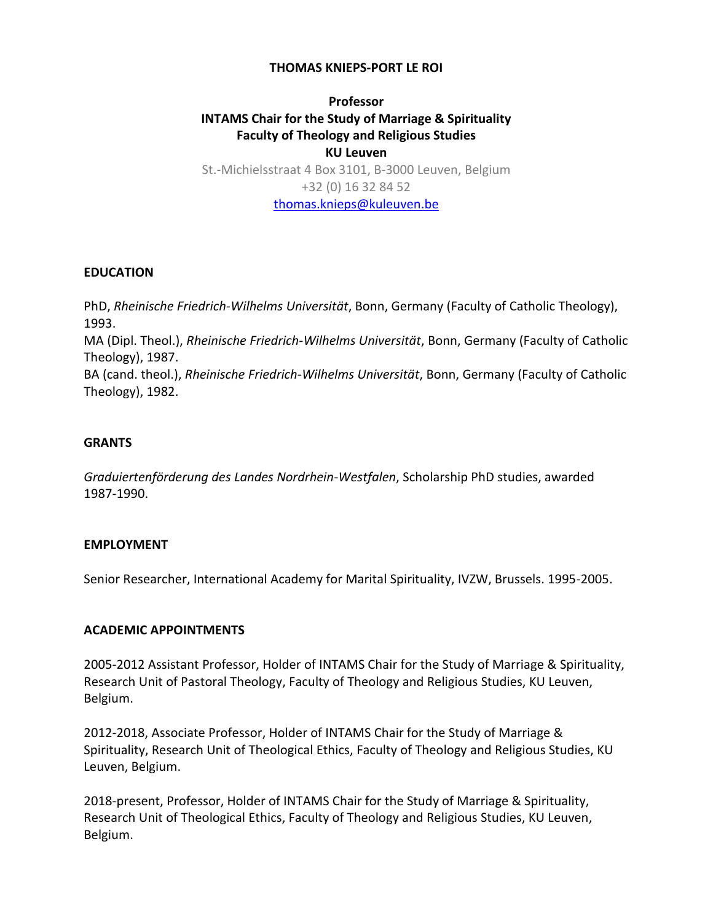### **THOMAS KNIEPS-PORT LE ROI**

# **Professor INTAMS Chair for the Study of Marriage & Spirituality Faculty of Theology and Religious Studies KU Leuven** St.-Michielsstraat 4 Box 3101, B-3000 Leuven, Belgium +32 (0) 16 32 84 52 [thomas.knieps@kuleuven.be](mailto:thomas.knieps@kuleuven.be)

#### **EDUCATION**

PhD, *Rheinische Friedrich-Wilhelms Universität*, Bonn, Germany (Faculty of Catholic Theology), 1993.

MA (Dipl. Theol.), *Rheinische Friedrich-Wilhelms Universität*, Bonn, Germany (Faculty of Catholic Theology), 1987.

BA (cand. theol.), *Rheinische Friedrich-Wilhelms Universität*, Bonn, Germany (Faculty of Catholic Theology), 1982.

#### **GRANTS**

*Graduiertenförderung des Landes Nordrhein-Westfalen*, Scholarship PhD studies, awarded 1987-1990.

#### **EMPLOYMENT**

Senior Researcher, International Academy for Marital Spirituality, IVZW, Brussels. 1995-2005.

### **ACADEMIC APPOINTMENTS**

2005-2012 Assistant Professor, Holder of INTAMS Chair for the Study of Marriage & Spirituality, Research Unit of Pastoral Theology, Faculty of Theology and Religious Studies, KU Leuven, Belgium.

2012-2018, Associate Professor, Holder of INTAMS Chair for the Study of Marriage & Spirituality, Research Unit of Theological Ethics, Faculty of Theology and Religious Studies, KU Leuven, Belgium.

2018-present, Professor, Holder of INTAMS Chair for the Study of Marriage & Spirituality, Research Unit of Theological Ethics, Faculty of Theology and Religious Studies, KU Leuven, Belgium.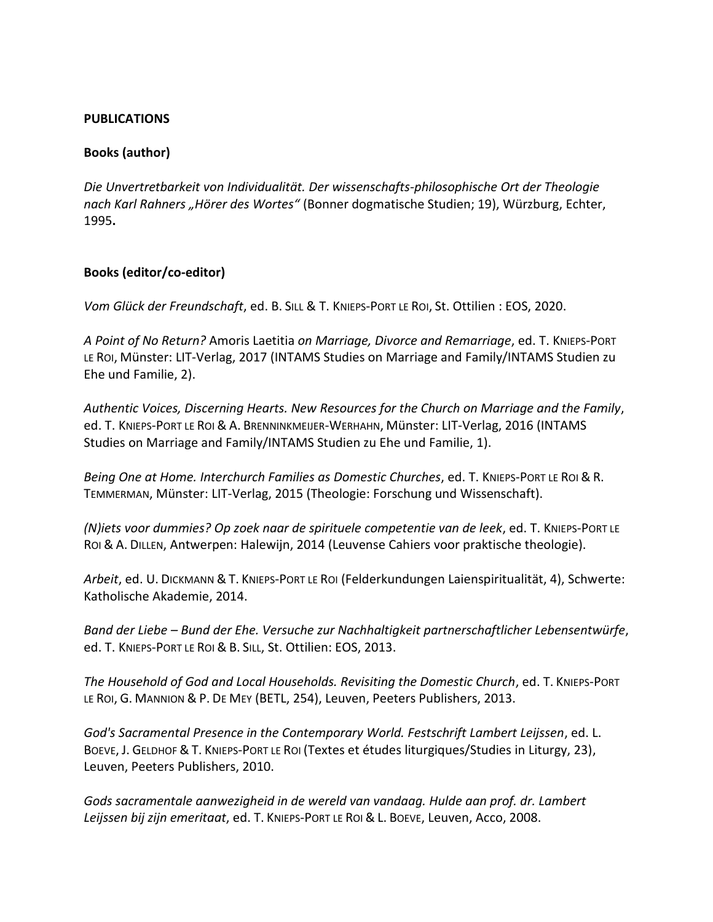### **PUBLICATIONS**

## **Books (author)**

*Die Unvertretbarkeit von Individualität. Der wissenschafts-philosophische Ort der Theologie nach Karl Rahners "Hörer des Wortes"* (Bonner dogmatische Studien; 19), Würzburg, Echter, 1995**.**

### **Books (editor/co-editor)**

*Vom Glück der Freundschaft*, ed. B. SILL & T. KNIEPS-PORT LE ROI, St. Ottilien : EOS, 2020.

*A Point of No Return?* Amoris Laetitia *on Marriage, Divorce and Remarriage*, ed. T. KNIEPS-PORT LE ROI, Münster: LIT-Verlag, 2017 (INTAMS Studies on Marriage and Family/INTAMS Studien zu Ehe und Familie, 2).

*Authentic Voices, Discerning Hearts. New Resources for the Church on Marriage and the Family*, ed. T. KNIEPS-PORT LE ROI &A. BRENNINKMEIJER-WERHAHN, Münster: LIT-Verlag, 2016 (INTAMS Studies on Marriage and Family/INTAMS Studien zu Ehe und Familie, 1).

*Being One at Home. Interchurch Families as Domestic Churches*, ed. T. KNIEPS-PORT LE ROI & R. TEMMERMAN, Münster: LIT-Verlag, 2015 (Theologie: Forschung und Wissenschaft).

*(N)iets voor dummies? Op zoek naar de spirituele competentie van de leek*, ed. T. KNIEPS-PORT LE ROI & A. DILLEN, Antwerpen: Halewijn, 2014 (Leuvense Cahiers voor praktische theologie).

*Arbeit*, ed. U. DICKMANN &T. KNIEPS-PORT LE ROI (Felderkundungen Laienspiritualität, 4), Schwerte: Katholische Akademie, 2014.

*Band der Liebe – Bund der Ehe. Versuche zur Nachhaltigkeit partnerschaftlicher Lebensentwürfe*, ed. T. KNIEPS-PORT LE ROI & B. SILL, St. Ottilien: EOS, 2013.

*The Household of God and Local Households. Revisiting the Domestic Church*, ed. T. KNIEPS-PORT LE ROI, G. MANNION & P. DE MEY (BETL, 254), Leuven, Peeters Publishers, 2013.

*God's Sacramental Presence in the Contemporary World. Festschrift Lambert Leijssen*, ed. L. BOEVE, J. GELDHOF & T. KNIEPS-PORT LE ROI (Textes et études liturgiques/Studies in Liturgy, 23), Leuven, Peeters Publishers, 2010.

*Gods sacramentale aanwezigheid in de wereld van vandaag. Hulde aan prof. dr. Lambert Leijssen bij zijn emeritaat*, ed. T. KNIEPS-PORT LE ROI & L. BOEVE, Leuven, Acco, 2008.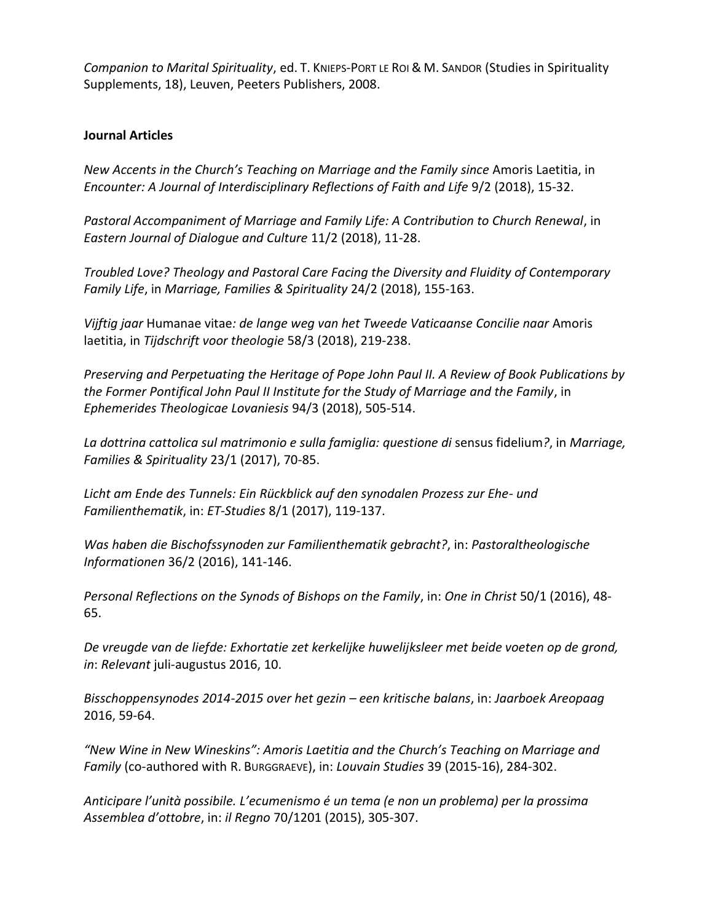*Companion to Marital Spirituality*, ed. T. KNIEPS-PORT LE ROI & M. SANDOR (Studies in Spirituality Supplements, 18), Leuven, Peeters Publishers, 2008.

### **Journal Articles**

*New Accents in the Church's Teaching on Marriage and the Family since* Amoris Laetitia, in *Encounter: A Journal of Interdisciplinary Reflections of Faith and Life* 9/2 (2018), 15-32.

*Pastoral Accompaniment of Marriage and Family Life: A Contribution to Church Renewal*, in *Eastern Journal of Dialogue and Culture* 11/2 (2018), 11-28.

*Troubled Love? Theology and Pastoral Care Facing the Diversity and Fluidity of Contemporary Family Life*, in *Marriage, Families & Spirituality* 24/2 (2018), 155-163.

*Vijftig jaar* Humanae vitae*: de lange weg van het Tweede Vaticaanse Concilie naar* Amoris laetitia, in *Tijdschrift voor theologie* 58/3 (2018), 219-238.

*Preserving and Perpetuating the Heritage of Pope John Paul II. A Review of Book Publications by the Former Pontifical John Paul II Institute for the Study of Marriage and the Family*, in *Ephemerides Theologicae Lovaniesis* 94/3 (2018), 505-514.

*La dottrina cattolica sul matrimonio e sulla famiglia: questione di* sensus fidelium*?*, in *Marriage, Families & Spirituality* 23/1 (2017), 70-85.

*Licht am Ende des Tunnels: Ein Rückblick auf den synodalen Prozess zur Ehe- und Familienthematik*, in: *ET-Studies* 8/1 (2017), 119-137.

*Was haben die Bischofssynoden zur Familienthematik gebracht?*, in: *Pastoraltheologische Informationen* 36/2 (2016), 141-146.

*Personal Reflections on the Synods of Bishops on the Family*, in: *One in Christ* 50/1 (2016), 48- 65.

*De vreugde van de liefde: Exhortatie zet kerkelijke huwelijksleer met beide voeten op de grond, in*: *Relevant* juli-augustus 2016, 10.

*Bisschoppensynodes 2014-2015 over het gezin – een kritische balans*, in: *Jaarboek Areopaag* 2016, 59-64.

*"New Wine in New Wineskins": Amoris Laetitia and the Church's Teaching on Marriage and Family* (co-authored with R. BURGGRAEVE), in: *Louvain Studies* 39 (2015-16), 284-302.

*Anticipare l'unità possibile. L'ecumenismo é un tema (e non un problema) per la prossima Assemblea d'ottobre*, in: *il Regno* 70/1201 (2015), 305-307.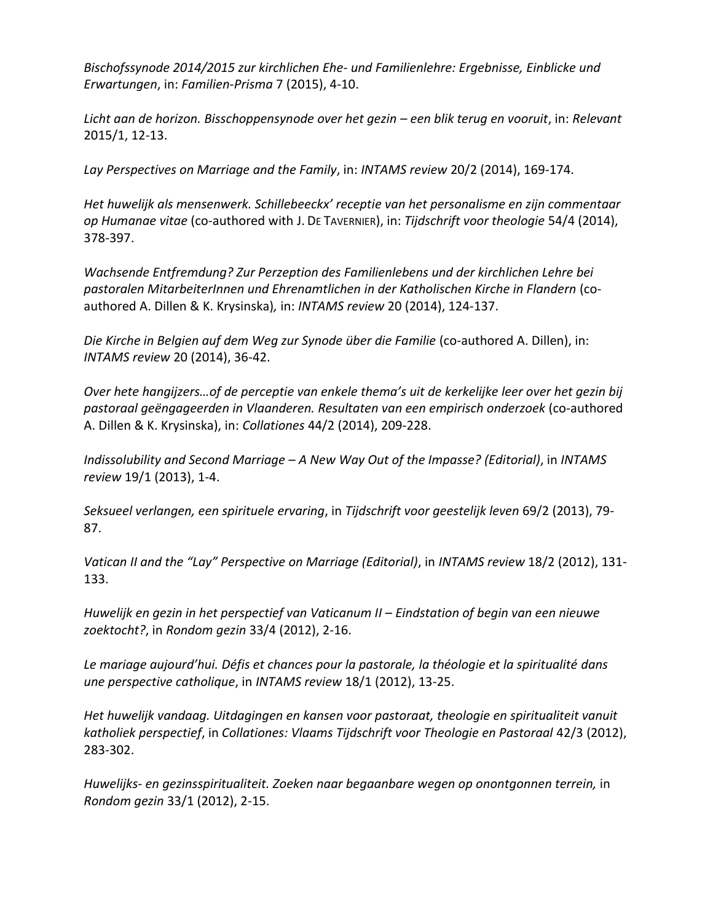*Bischofssynode 2014/2015 zur kirchlichen Ehe- und Familienlehre: Ergebnisse, Einblicke und Erwartungen*, in: *Familien-Prisma* 7 (2015), 4-10.

*Licht aan de horizon. Bisschoppensynode over het gezin – een blik terug en vooruit*, in: *Relevant*  2015/1, 12-13.

*Lay Perspectives on Marriage and the Family*, in: *INTAMS review* 20/2 (2014), 169-174.

*Het huwelijk als mensenwerk. Schillebeeckx' receptie van het personalisme en zijn commentaar op Humanae vitae* (co-authored with J. DE TAVERNIER), in: *Tijdschrift voor theologie* 54/4 (2014), 378-397.

*Wachsende Entfremdung? Zur Perzeption des Familienlebens und der kirchlichen Lehre bei pastoralen MitarbeiterInnen und Ehrenamtlichen in der Katholischen Kirche in Flandern* (coauthored A. Dillen & K. Krysinska)*,* in: *INTAMS review* 20 (2014), 124-137.

*Die Kirche in Belgien auf dem Weg zur Synode über die Familie* (co-authored A. Dillen), in: *INTAMS review* 20 (2014), 36-42.

*Over hete hangijzers…of de perceptie van enkele thema's uit de kerkelijke leer over het gezin bij pastoraal geëngageerden in Vlaanderen. Resultaten van een empirisch onderzoek* (co-authored A. Dillen & K. Krysinska), in: *Collationes* 44/2 (2014), 209-228.

*Indissolubility and Second Marriage – A New Way Out of the Impasse? (Editorial)*, in *INTAMS review* 19/1 (2013), 1-4.

*Seksueel verlangen, een spirituele ervaring*, in *Tijdschrift voor geestelijk leven* 69/2 (2013), 79- 87.

*Vatican II and the "Lay" Perspective on Marriage (Editorial)*, in *INTAMS review* 18/2 (2012), 131- 133.

*Huwelijk en gezin in het perspectief van Vaticanum II – Eindstation of begin van een nieuwe zoektocht?*, in *Rondom gezin* 33/4 (2012), 2-16.

*Le mariage aujourd'hui. Défis et chances pour la pastorale, la théologie et la spiritualité dans une perspective catholique*, in *INTAMS review* 18/1 (2012), 13-25.

*Het huwelijk vandaag. Uitdagingen en kansen voor pastoraat, theologie en spiritualiteit vanuit katholiek perspectief*, in *Collationes: Vlaams Tijdschrift voor Theologie en Pastoraal* 42/3 (2012), 283-302.

*Huwelijks- en gezinsspiritualiteit. Zoeken naar begaanbare wegen op onontgonnen terrein,* in *Rondom gezin* 33/1 (2012), 2-15.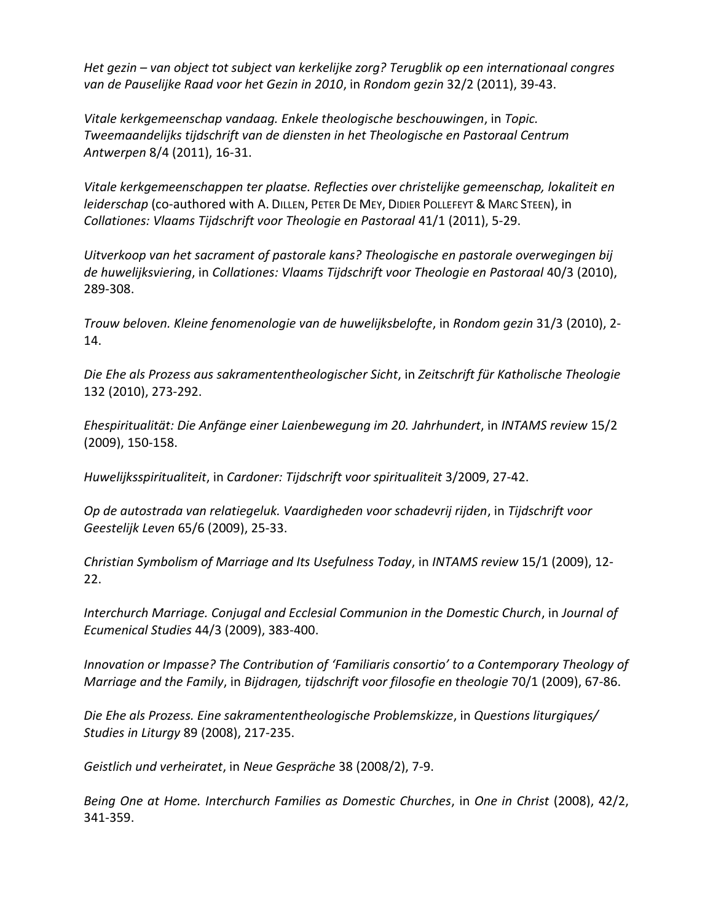*Het gezin – van object tot subject van kerkelijke zorg? Terugblik op een internationaal congres van de Pauselijke Raad voor het Gezin in 2010*, in *Rondom gezin* 32/2 (2011), 39-43.

*Vitale kerkgemeenschap vandaag. Enkele theologische beschouwingen*, in *Topic. Tweemaandelijks tijdschrift van de diensten in het Theologische en Pastoraal Centrum Antwerpen* 8/4 (2011), 16-31.

*Vitale kerkgemeenschappen ter plaatse. Reflecties over christelijke gemeenschap, lokaliteit en leiderschap* (co-authored with A. DILLEN, PETER DE MEY, DIDIER POLLEFEYT & MARC STEEN), in *Collationes: Vlaams Tijdschrift voor Theologie en Pastoraal* 41/1 (2011), 5-29.

*Uitverkoop van het sacrament of pastorale kans? Theologische en pastorale overwegingen bij de huwelijksviering*, in *Collationes: Vlaams Tijdschrift voor Theologie en Pastoraal* 40/3 (2010), 289-308.

*Trouw beloven. Kleine fenomenologie van de huwelijksbelofte*, in *Rondom gezin* 31/3 (2010), 2- 14.

*Die Ehe als Prozess aus sakramententheologischer Sicht*, in *Zeitschrift für Katholische Theologie*  132 (2010), 273-292.

*Ehespiritualität: Die Anfänge einer Laienbewegung im 20. Jahrhundert*, in *INTAMS review* 15/2 (2009), 150-158.

*Huwelijksspiritualiteit*, in *Cardoner: Tijdschrift voor spiritualiteit* 3/2009, 27-42.

*Op de autostrada van relatiegeluk. Vaardigheden voor schadevrij rijden*, in *Tijdschrift voor Geestelijk Leven* 65/6 (2009), 25-33.

*Christian Symbolism of Marriage and Its Usefulness Today*, in *INTAMS review* 15/1 (2009), 12- 22.

*Interchurch Marriage. Conjugal and Ecclesial Communion in the Domestic Church*, in *Journal of Ecumenical Studies* 44/3 (2009), 383-400.

*Innovation or Impasse? The Contribution of 'Familiaris consortio' to a Contemporary Theology of Marriage and the Family*, in *Bijdragen, tijdschrift voor filosofie en theologie* 70/1 (2009), 67-86.

*Die Ehe als Prozess. Eine sakramententheologische Problemskizze*, in *Questions liturgiques/ Studies in Liturgy* 89 (2008), 217-235.

*Geistlich und verheiratet*, in *Neue Gespräche* 38 (2008/2), 7-9.

*Being One at Home. Interchurch Families as Domestic Churches*, in *One in Christ* (2008), 42/2, 341-359.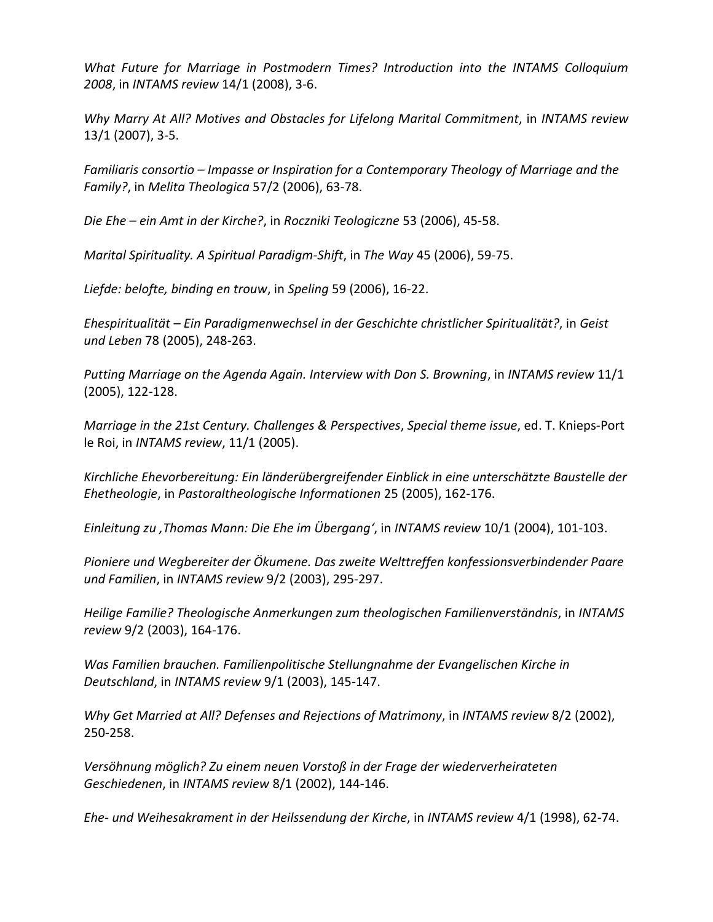*What Future for Marriage in Postmodern Times? Introduction into the INTAMS Colloquium 2008*, in *INTAMS review* 14/1 (2008), 3-6.

*Why Marry At All? Motives and Obstacles for Lifelong Marital Commitment*, in *INTAMS review* 13/1 (2007), 3-5.

*Familiaris consortio – Impasse or Inspiration for a Contemporary Theology of Marriage and the Family?*, in *Melita Theologica* 57/2 (2006), 63-78.

*Die Ehe – ein Amt in der Kirche?*, in *Roczniki Teologiczne* 53 (2006), 45-58.

*Marital Spirituality. A Spiritual Paradigm-Shift*, in *The Way* 45 (2006), 59-75.

*Liefde: belofte, binding en trouw*, in *Speling* 59 (2006), 16-22.

*Ehespiritualität – Ein Paradigmenwechsel in der Geschichte christlicher Spiritualität?*, in *Geist und Leben* 78 (2005), 248-263.

*Putting Marriage on the Agenda Again. Interview with Don S. Browning*, in *INTAMS review* 11/1 (2005), 122-128.

*Marriage in the 21st Century. Challenges & Perspectives*, *Special theme issue*, ed. T. Knieps-Port le Roi, in *INTAMS review*, 11/1 (2005).

*Kirchliche Ehevorbereitung: Ein länderübergreifender Einblick in eine unterschätzte Baustelle der Ehetheologie*, in *Pastoraltheologische Informationen* 25 (2005), 162-176.

*Einleitung zu 'Thomas Mann: Die Ehe im Übergang'*, in *INTAMS review* 10/1 (2004), 101-103.

*Pioniere und Wegbereiter der Ökumene. Das zweite Welttreffen konfessionsverbindender Paare und Familien*, in *INTAMS review* 9/2 (2003), 295-297.

*Heilige Familie? Theologische Anmerkungen zum theologischen Familienverständnis*, in *INTAMS review* 9/2 (2003), 164-176.

*Was Familien brauchen. Familienpolitische Stellungnahme der Evangelischen Kirche in Deutschland*, in *INTAMS review* 9/1 (2003), 145-147.

*Why Get Married at All? Defenses and Rejections of Matrimony*, in *INTAMS review* 8/2 (2002), 250-258.

*Versöhnung möglich? Zu einem neuen Vorstoß in der Frage der wiederverheirateten Geschiedenen*, in *INTAMS review* 8/1 (2002), 144-146.

*Ehe- und Weihesakrament in der Heilssendung der Kirche*, in *INTAMS review* 4/1 (1998), 62-74.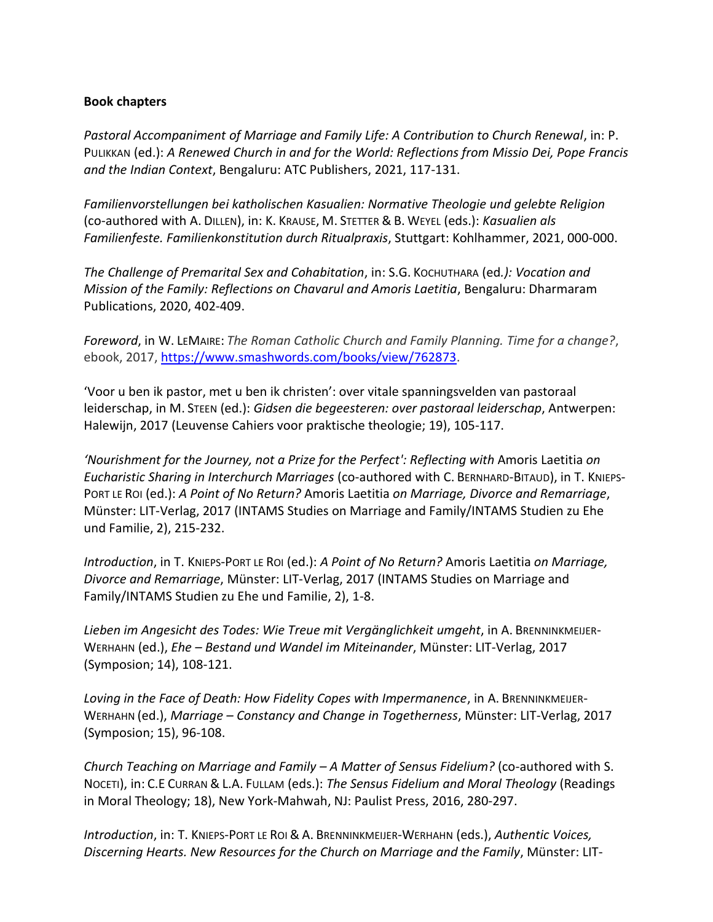### **Book chapters**

*Pastoral Accompaniment of Marriage and Family Life: A Contribution to Church Renewal*, in: P. PULIKKAN (ed.): *A Renewed Church in and for the World: Reflections from Missio Dei, Pope Francis and the Indian Context*, Bengaluru: ATC Publishers, 2021, 117-131.

*Familienvorstellungen bei katholischen Kasualien: Normative Theologie und gelebte Religion* (co-authored with A. DILLEN), in: K. KRAUSE, M. STETTER & B. WEYEL (eds.): *Kasualien als Familienfeste. Familienkonstitution durch Ritualpraxis*, Stuttgart: Kohlhammer, 2021, 000-000.

*The Challenge of Premarital Sex and Cohabitation*, in: S.G. KOCHUTHARA (ed*.): Vocation and Mission of the Family: Reflections on Chavarul and Amoris Laetitia*, Bengaluru: Dharmaram Publications, 2020, 402-409.

*Foreword*, in W. LEMAIRE: *The Roman Catholic Church and Family Planning. Time for a change?*, ebook, 2017, [https://www.smashwords.com/books/view/762873.](https://www.smashwords.com/books/view/762873)

'Voor u ben ik pastor, met u ben ik christen': over vitale spanningsvelden van pastoraal leiderschap, in M. STEEN (ed.): *Gidsen die begeesteren: over pastoraal leiderschap*, Antwerpen: Halewijn, 2017 (Leuvense Cahiers voor praktische theologie; 19), 105-117.

'*Nourishment for the Journey, not a Prize for the Perfect': Reflecting with Amoris Laetitia on Eucharistic Sharing in Interchurch Marriages* (co-authored with C. BERNHARD-BITAUD), in T. KNIEPS-PORT LE ROI (ed.): *A Point of No Return?* Amoris Laetitia *on Marriage, Divorce and Remarriage*, Münster: LIT-Verlag, 2017 (INTAMS Studies on Marriage and Family/INTAMS Studien zu Ehe und Familie, 2), 215-232.

*Introduction*, in T. KNIEPS-PORT LE ROI (ed.): *A Point of No Return?* Amoris Laetitia *on Marriage, Divorce and Remarriage*, Münster: LIT-Verlag, 2017 (INTAMS Studies on Marriage and Family/INTAMS Studien zu Ehe und Familie, 2), 1-8.

*Lieben im Angesicht des Todes: Wie Treue mit Vergänglichkeit umgeht*, in A. BRENNINKMEIJER-WERHAHN (ed.), *Ehe – Bestand und Wandel im Miteinander*, Münster: LIT-Verlag, 2017 (Symposion; 14), 108-121.

*Loving in the Face of Death: How Fidelity Copes with Impermanence*, in A. BRENNINKMEIJER-WERHAHN (ed.), *Marriage – Constancy and Change in Togetherness*, Münster: LIT-Verlag, 2017 (Symposion; 15), 96-108.

*Church Teaching on Marriage and Family – A Matter of Sensus Fidelium?* (co-authored with S. NOCETI), in: C.E CURRAN & L.A. FULLAM (eds.): *The Sensus Fidelium and Moral Theology* (Readings in Moral Theology; 18), New York-Mahwah, NJ: Paulist Press, 2016, 280-297.

*Introduction*, in: T. KNIEPS-PORT LE ROI & A. BRENNINKMEIJER-WERHAHN (eds.), *Authentic Voices, Discerning Hearts. New Resources for the Church on Marriage and the Family*, Münster: LIT-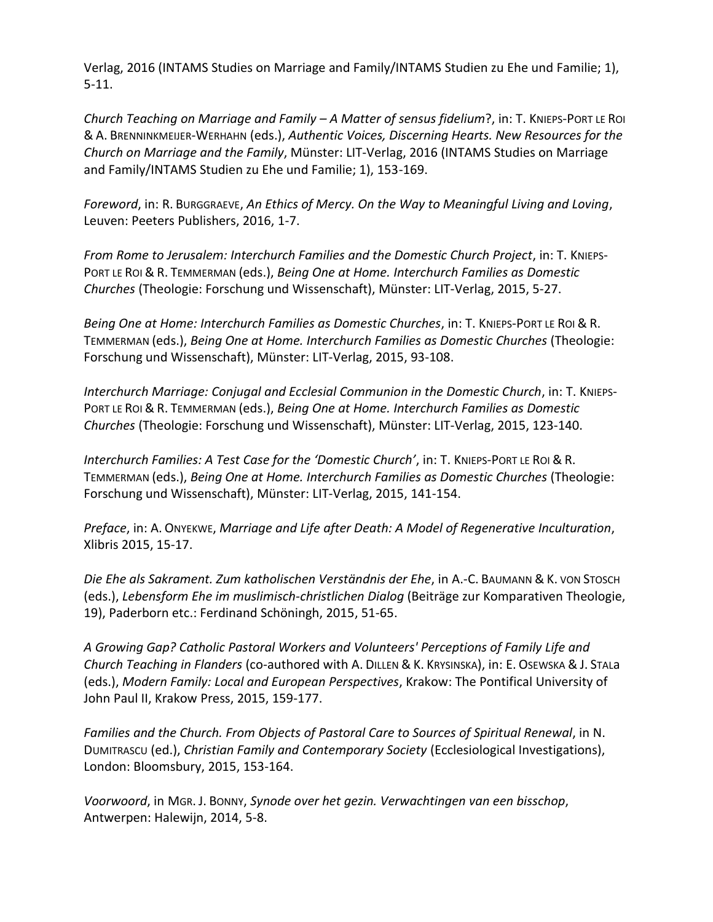Verlag, 2016 (INTAMS Studies on Marriage and Family/INTAMS Studien zu Ehe und Familie; 1), 5-11.

*Church Teaching on Marriage and Family – A Matter of sensus fidelium*?, in: T. KNIEPS-PORT LE ROI & A. BRENNINKMEIJER-WERHAHN (eds.), *Authentic Voices, Discerning Hearts. New Resources for the Church on Marriage and the Family*, Münster: LIT-Verlag, 2016 (INTAMS Studies on Marriage and Family/INTAMS Studien zu Ehe und Familie; 1), 153-169.

*Foreword*, in: R. BURGGRAEVE, *An Ethics of Mercy. On the Way to Meaningful Living and Loving*, Leuven: Peeters Publishers, 2016, 1-7.

*From Rome to Jerusalem: Interchurch Families and the Domestic Church Project*, in: T. KNIEPS-PORT LE ROI & R. TEMMERMAN (eds.), *Being One at Home. Interchurch Families as Domestic Churches* (Theologie: Forschung und Wissenschaft), Münster: LIT-Verlag, 2015, 5-27.

*Being One at Home: Interchurch Families as Domestic Churches*, in: T. KNIEPS-PORT LE ROI & R. TEMMERMAN (eds.), *Being One at Home. Interchurch Families as Domestic Churches* (Theologie: Forschung und Wissenschaft), Münster: LIT-Verlag, 2015, 93-108.

*Interchurch Marriage: Conjugal and Ecclesial Communion in the Domestic Church*, in: T. KNIEPS-PORT LE ROI & R. TEMMERMAN (eds.), *Being One at Home. Interchurch Families as Domestic Churches* (Theologie: Forschung und Wissenschaft), Münster: LIT-Verlag, 2015, 123-140.

*Interchurch Families: A Test Case for the 'Domestic Church'*, in: T. KNIEPS-PORT LE ROI & R. TEMMERMAN (eds.), *Being One at Home. Interchurch Families as Domestic Churches* (Theologie: Forschung und Wissenschaft), Münster: LIT-Verlag, 2015, 141-154.

*Preface*, in: A. ONYEKWE, *Marriage and Life after Death: A Model of Regenerative Inculturation*, Xlibris 2015, 15-17.

*Die Ehe als Sakrament. Zum katholischen Verständnis der Ehe*, in A.-C. BAUMANN & K. VON STOSCH (eds.), *Lebensform Ehe im muslimisch-christlichen Dialog* (Beiträge zur Komparativen Theologie, 19), Paderborn etc.: Ferdinand Schöningh, 2015, 51-65.

*A Growing Gap? Catholic Pastoral Workers and Volunteers' Perceptions of Family Life and Church Teaching in Flanders* (co-authored with A. DILLEN & K. KRYSINSKA), in: E. OSEWSKA & J. STALa (eds.), *Modern Family: Local and European Perspectives*, Krakow: The Pontifical University of John Paul II, Krakow Press, 2015, 159-177.

*Families and the Church. From Objects of Pastoral Care to Sources of Spiritual Renewal*, in N. DUMITRASCU (ed.), *Christian Family and Contemporary Society* (Ecclesiological Investigations), London: Bloomsbury, 2015, 153-164.

*Voorwoord*, in MGR. J. BONNY, *Synode over het gezin. Verwachtingen van een bisschop*, Antwerpen: Halewijn, 2014, 5-8.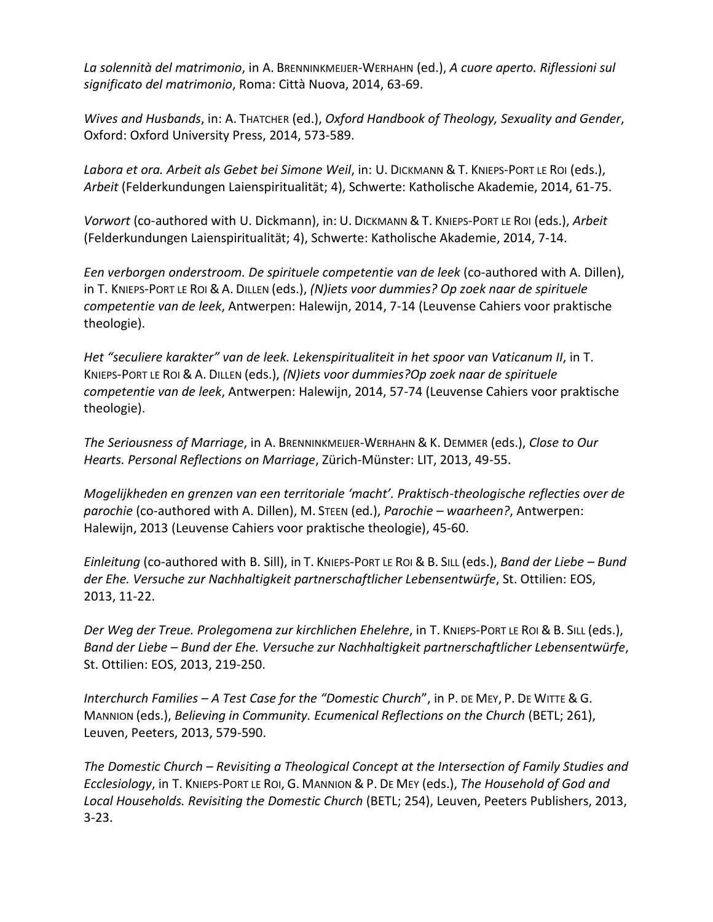*La solennità del matrimonio*, in A. BRENNINKMEIJER-WERHAHN (ed.), *A cuore aperto. Riflessioni sul significato del matrimonio*, Roma: Città Nuova, 2014, 63-69.

*Wives and Husbands*, in: A. THATCHER (ed.), *Oxford Handbook of Theology, Sexuality and Gender*, Oxford: Oxford University Press, 2014, 573-589.

*Labora et ora. Arbeit als Gebet bei Simone Weil*, in: U. DICKMANN & T. KNIEPS-PORT LE ROI (eds.), *Arbeit* (Felderkundungen Laienspiritualität; 4), Schwerte: Katholische Akademie, 2014, 61-75.

*Vorwort* (co-authored with U. Dickmann), in: U. DICKMANN & T. KNIEPS-PORT LE ROI (eds.), *Arbeit* (Felderkundungen Laienspiritualität; 4), Schwerte: Katholische Akademie, 2014, 7-14.

*Een verborgen onderstroom. De spirituele competentie van de leek* (co-authored with A. Dillen), in T. KNIEPS-PORT LE ROI &A. DILLEN (eds.), *(N)iets voor dummies? Op zoek naar de spirituele competentie van de leek*, Antwerpen: Halewijn, 2014, 7-14 (Leuvense Cahiers voor praktische theologie).

*Het "seculiere karakter" van de leek. Lekenspiritualiteit in het spoor van Vaticanum II*, in T. KNIEPS-PORT LE ROI & A. DILLEN (eds.), *(N)iets voor dummies?Op zoek naar de spirituele competentie van de leek*, Antwerpen: Halewijn, 2014, 57-74 (Leuvense Cahiers voor praktische theologie).

*The Seriousness of Marriage*, in A. BRENNINKMEIJER-WERHAHN & K. DEMMER (eds.), *Close to Our Hearts. Personal Reflections on Marriage*, Zürich-Münster: LIT, 2013, 49-55.

*Mogelijkheden en grenzen van een territoriale 'macht'. Praktisch-theologische reflecties over de parochie* (co-authored with A. Dillen), M. STEEN (ed.), *Parochie – waarheen?*, Antwerpen: Halewijn, 2013 (Leuvense Cahiers voor praktische theologie), 45-60.

*Einleitung* (co-authored with B. Sill), in T. KNIEPS-PORT LE ROI & B. SILL (eds.), *Band der Liebe – Bund der Ehe. Versuche zur Nachhaltigkeit partnerschaftlicher Lebensentwürfe*, St. Ottilien: EOS, 2013, 11-22.

*Der Weg der Treue. Prolegomena zur kirchlichen Ehelehre*, in T. KNIEPS-PORT LE ROI & B. SILL (eds.), *Band der Liebe – Bund der Ehe. Versuche zur Nachhaltigkeit partnerschaftlicher Lebensentwürfe*, St. Ottilien: EOS, 2013, 219-250.

*Interchurch Families – A Test Case for the "Domestic Church*", in P. DE MEY, P. DE WITTE & G. MANNION (eds.), *Believing in Community. Ecumenical Reflections on the Church* (BETL; 261), Leuven, Peeters, 2013, 579-590.

*The Domestic Church – Revisiting a Theological Concept at the Intersection of Family Studies and Ecclesiology*, in T. KNIEPS-PORT LE ROI, G. MANNION & P. DE MEY (eds.), *The Household of God and Local Households. Revisiting the Domestic Church* (BETL; 254), Leuven, Peeters Publishers, 2013, 3-23.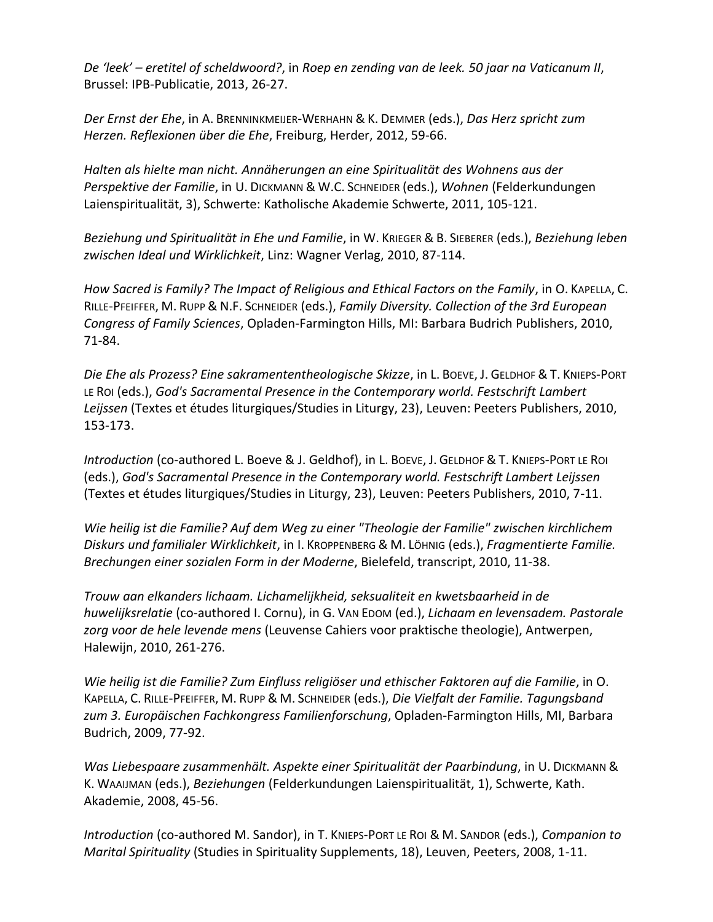*De 'leek' – eretitel of scheldwoord?*, in *Roep en zending van de leek. 50 jaar na Vaticanum II*, Brussel: IPB-Publicatie, 2013, 26-27.

*Der Ernst der Ehe*, in A. BRENNINKMEIJER-WERHAHN & K. DEMMER (eds.), *Das Herz spricht zum Herzen. Reflexionen über die Ehe*, Freiburg, Herder, 2012, 59-66.

*Halten als hielte man nicht. Annäherungen an eine Spiritualität des Wohnens aus der Perspektive der Familie*, in U. DICKMANN & W.C. SCHNEIDER (eds.), *Wohnen* (Felderkundungen Laienspiritualität, 3), Schwerte: Katholische Akademie Schwerte, 2011, 105-121.

*Beziehung und Spiritualität in Ehe und Familie*, in W. KRIEGER & B. SIEBERER (eds.), *Beziehung leben zwischen Ideal und Wirklichkeit*, Linz: Wagner Verlag, 2010, 87-114.

*How Sacred is Family? The Impact of Religious and Ethical Factors on the Family*, in O. KAPELLA, C. RILLE-PFEIFFER, M. RUPP & N.F. SCHNEIDER (eds.), *Family Diversity. Collection of the 3rd European Congress of Family Sciences*, Opladen-Farmington Hills, MI: Barbara Budrich Publishers, 2010, 71-84.

*Die Ehe als Prozess? Eine sakramententheologische Skizze*, in L. BOEVE, J. GELDHOF & T. KNIEPS-PORT LE ROI (eds.), *God's Sacramental Presence in the Contemporary world. Festschrift Lambert Leijssen* (Textes et études liturgiques/Studies in Liturgy, 23), Leuven: Peeters Publishers, 2010, 153-173.

*Introduction* (co-authored L. Boeve & J. Geldhof), in L. BOEVE, J. GELDHOF & T. KNIEPS-PORT LE ROI (eds.), *God's Sacramental Presence in the Contemporary world. Festschrift Lambert Leijssen*  (Textes et études liturgiques/Studies in Liturgy, 23), Leuven: Peeters Publishers, 2010, 7-11.

*Wie heilig ist die Familie? Auf dem Weg zu einer "Theologie der Familie" zwischen kirchlichem Diskurs und familialer Wirklichkeit*, in I. KROPPENBERG & M. LÖHNIG (eds.), *Fragmentierte Familie. Brechungen einer sozialen Form in der Moderne*, Bielefeld, transcript, 2010, 11-38.

*Trouw aan elkanders lichaam. Lichamelijkheid, seksualiteit en kwetsbaarheid in de huwelijksrelatie* (co-authored I. Cornu), in G. VAN EDOM (ed.), *Lichaam en levensadem. Pastorale zorg voor de hele levende mens* (Leuvense Cahiers voor praktische theologie), Antwerpen, Halewijn, 2010, 261-276.

*Wie heilig ist die Familie? Zum Einfluss religiöser und ethischer Faktoren auf die Familie*, in O. KAPELLA, C. RILLE-PFEIFFER, M. RUPP & M. SCHNEIDER (eds.), *Die Vielfalt der Familie. Tagungsband zum 3. Europäischen Fachkongress Familienforschung*, Opladen-Farmington Hills, MI, Barbara Budrich, 2009, 77-92.

*Was Liebespaare zusammenhält. Aspekte einer Spiritualität der Paarbindung*, in U. DICKMANN & K. WAAIJMAN (eds.), *Beziehungen* (Felderkundungen Laienspiritualität, 1), Schwerte, Kath. Akademie, 2008, 45-56.

*Introduction* (co-authored M. Sandor), in T. KNIEPS-PORT LE ROI & M. SANDOR (eds.), *Companion to Marital Spirituality* (Studies in Spirituality Supplements, 18), Leuven, Peeters, 2008, 1-11.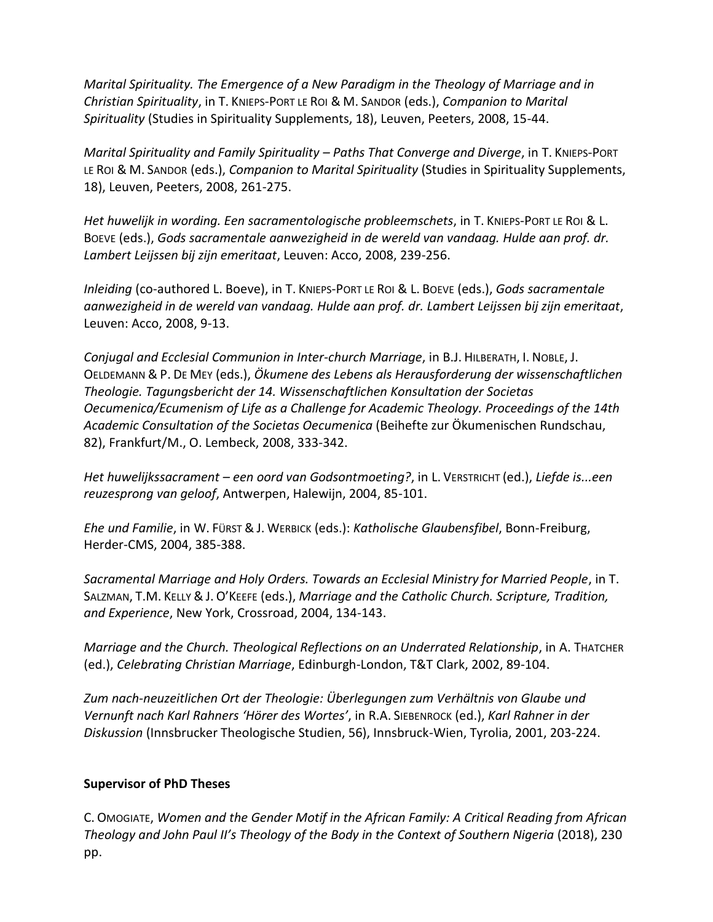*Marital Spirituality. The Emergence of a New Paradigm in the Theology of Marriage and in Christian Spirituality*, in T. KNIEPS-PORT LE ROI & M. SANDOR (eds.), *Companion to Marital Spirituality* (Studies in Spirituality Supplements, 18), Leuven, Peeters, 2008, 15-44.

*Marital Spirituality and Family Spirituality – Paths That Converge and Diverge*, in T. KNIEPS-PORT LE ROI & M. SANDOR (eds.), *Companion to Marital Spirituality* (Studies in Spirituality Supplements, 18), Leuven, Peeters, 2008, 261-275.

*Het huwelijk in wording. Een sacramentologische probleemschets*, in T. KNIEPS-PORT LE ROI & L. BOEVE (eds.), *Gods sacramentale aanwezigheid in de wereld van vandaag. Hulde aan prof. dr. Lambert Leijssen bij zijn emeritaat*, Leuven: Acco, 2008, 239-256.

*Inleiding* (co-authored L. Boeve), in T. KNIEPS-PORT LE ROI & L. BOEVE (eds.), *Gods sacramentale aanwezigheid in de wereld van vandaag. Hulde aan prof. dr. Lambert Leijssen bij zijn emeritaat*, Leuven: Acco, 2008, 9-13.

*Conjugal and Ecclesial Communion in Inter-church Marriage*, in B.J. HILBERATH, I. NOBLE, J. OELDEMANN & P. DE MEY (eds.), *Ökumene des Lebens als Herausforderung der wissenschaftlichen Theologie. Tagungsbericht der 14. Wissenschaftlichen Konsultation der Societas Oecumenica/Ecumenism of Life as a Challenge for Academic Theology. Proceedings of the 14th Academic Consultation of the Societas Oecumenica* (Beihefte zur Ökumenischen Rundschau, 82), Frankfurt/M., O. Lembeck, 2008, 333-342.

*Het huwelijkssacrament – een oord van Godsontmoeting?*, in L. VERSTRICHT (ed.), *Liefde is...een reuzesprong van geloof*, Antwerpen, Halewijn, 2004, 85-101.

*Ehe und Familie*, in W. FÜRST & J. WERBICK (eds.): *Katholische Glaubensfibel*, Bonn-Freiburg, Herder-CMS, 2004, 385-388.

*Sacramental Marriage and Holy Orders. Towards an Ecclesial Ministry for Married People*, in T. SALZMAN, T.M. KELLY & J. O'KEEFE (eds.), *Marriage and the Catholic Church. Scripture, Tradition, and Experience*, New York, Crossroad, 2004, 134-143.

*Marriage and the Church. Theological Reflections on an Underrated Relationship*, in A. THATCHER (ed.), *Celebrating Christian Marriage*, Edinburgh-London, T&T Clark, 2002, 89-104.

*Zum nach-neuzeitlichen Ort der Theologie: Überlegungen zum Verhältnis von Glaube und Vernunft nach Karl Rahners 'Hörer des Wortes'*, in R.A. SIEBENROCK (ed.), *Karl Rahner in der Diskussion* (Innsbrucker Theologische Studien, 56), Innsbruck-Wien, Tyrolia, 2001, 203-224.

# **Supervisor of PhD Theses**

C. OMOGIATE, *Women and the Gender Motif in the African Family: A Critical Reading from African Theology and John Paul II's Theology of the Body in the Context of Southern Nigeria* (2018), 230 pp.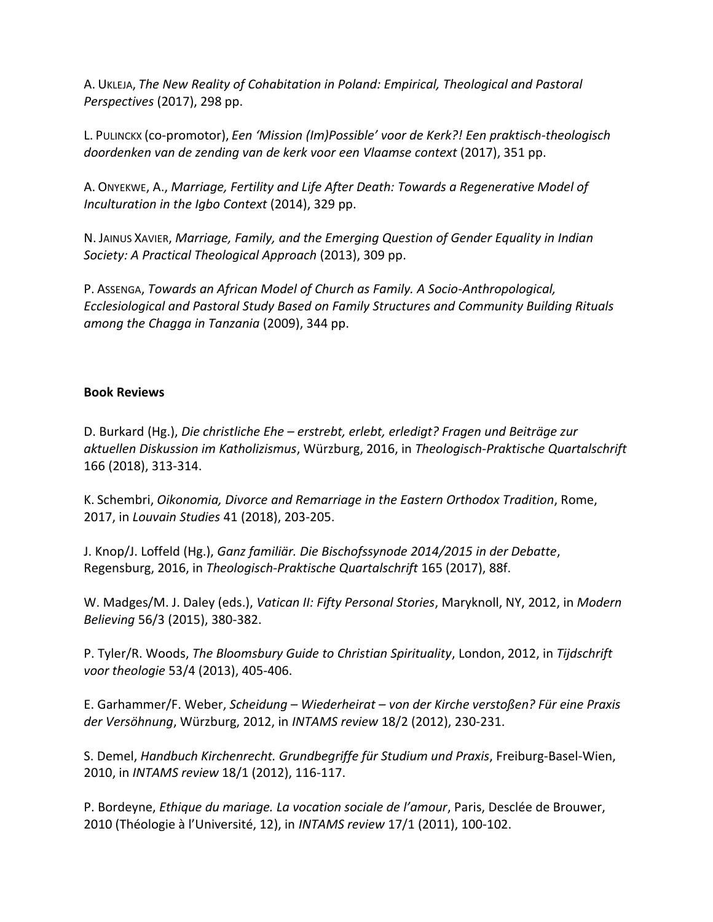A. UKLEJA, *The New Reality of Cohabitation in Poland: Empirical, Theological and Pastoral Perspectives* (2017), 298 pp.

L. PULINCKX (co-promotor), *Een 'Mission (Im)Possible' voor de Kerk?! Een praktisch-theologisch doordenken van de zending van de kerk voor een Vlaamse context* (2017), 351 pp.

A. ONYEKWE, A., *Marriage, Fertility and Life After Death: Towards a Regenerative Model of Inculturation in the Igbo Context* (2014), 329 pp.

N. JAINUS XAVIER, *Marriage, Family, and the Emerging Question of Gender Equality in Indian Society: A Practical Theological Approach* (2013), 309 pp.

P. ASSENGA, *Towards an African Model of Church as Family. A Socio-Anthropological, Ecclesiological and Pastoral Study Based on Family Structures and Community Building Rituals among the Chagga in Tanzania* (2009), 344 pp.

### **Book Reviews**

D. Burkard (Hg.), *Die christliche Ehe – erstrebt, erlebt, erledigt? Fragen und Beiträge zur aktuellen Diskussion im Katholizismus*, Würzburg, 2016, in *Theologisch-Praktische Quartalschrift*  166 (2018), 313-314.

K. Schembri, *Oikonomia, Divorce and Remarriage in the Eastern Orthodox Tradition*, Rome, 2017, in *Louvain Studies* 41 (2018), 203-205.

J. Knop/J. Loffeld (Hg.), *Ganz familiär. Die Bischofssynode 2014/2015 in der Debatte*, Regensburg, 2016, in *Theologisch-Praktische Quartalschrift* 165 (2017), 88f.

W. Madges/M. J. Daley (eds.), *Vatican II: Fifty Personal Stories*, Maryknoll, NY, 2012, in *Modern Believing* 56/3 (2015), 380-382.

P. Tyler/R. Woods, *The Bloomsbury Guide to Christian Spirituality*, London, 2012, in *Tijdschrift voor theologie* 53/4 (2013), 405-406.

E. Garhammer/F. Weber, *Scheidung – Wiederheirat – von der Kirche verstoßen? Für eine Praxis der Versöhnung*, Würzburg, 2012, in *INTAMS review* 18/2 (2012), 230-231.

S. Demel, *Handbuch Kirchenrecht. Grundbegriffe für Studium und Praxis*, Freiburg-Basel-Wien, 2010, in *INTAMS review* 18/1 (2012), 116-117.

P. Bordeyne, *Ethique du mariage. La vocation sociale de l'amour*, Paris, Desclée de Brouwer, 2010 (Théologie à l'Université, 12), in *INTAMS review* 17/1 (2011), 100-102.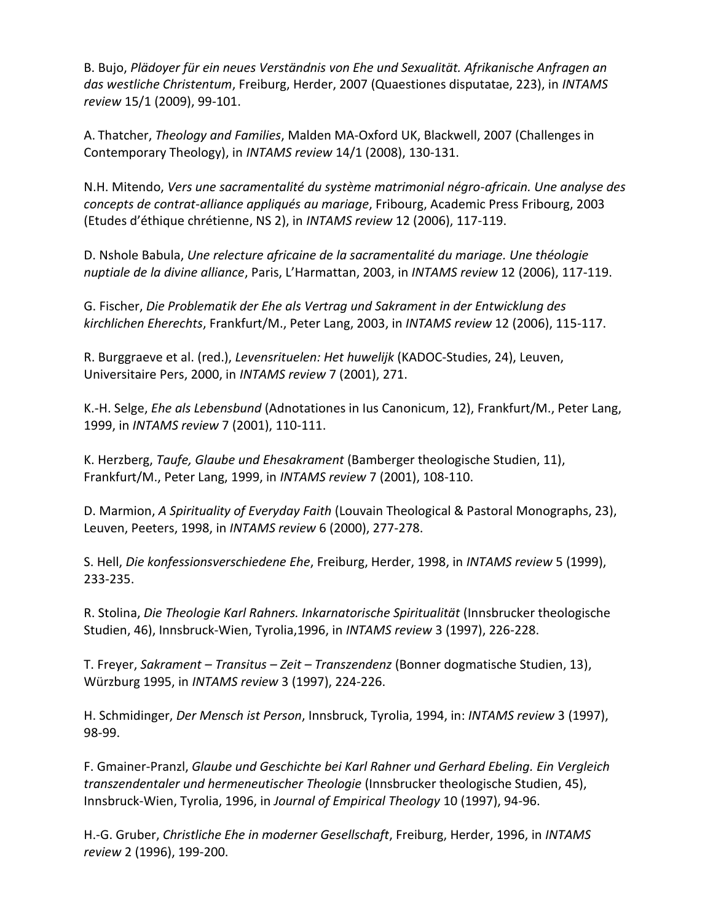B. Bujo, *Plädoyer für ein neues Verständnis von Ehe und Sexualität. Afrikanische Anfragen an das westliche Christentum*, Freiburg, Herder, 2007 (Quaestiones disputatae, 223), in *INTAMS review* 15/1 (2009), 99-101.

A. Thatcher, *Theology and Families*, Malden MA-Oxford UK, Blackwell, 2007 (Challenges in Contemporary Theology), in *INTAMS review* 14/1 (2008), 130-131.

N.H. Mitendo, *Vers une sacramentalité du système matrimonial négro-africain. Une analyse des concepts de contrat-alliance appliqués au mariage*, Fribourg, Academic Press Fribourg, 2003 (Etudes d'éthique chrétienne, NS 2), in *INTAMS review* 12 (2006), 117-119.

D. Nshole Babula, *Une relecture africaine de la sacramentalité du mariage. Une théologie nuptiale de la divine alliance*, Paris, L'Harmattan, 2003, in *INTAMS review* 12 (2006), 117-119.

G. Fischer, *Die Problematik der Ehe als Vertrag und Sakrament in der Entwicklung des kirchlichen Eherechts*, Frankfurt/M., Peter Lang, 2003, in *INTAMS review* 12 (2006), 115-117.

R. Burggraeve et al. (red.), *Levensrituelen: Het huwelijk* (KADOC-Studies, 24), Leuven, Universitaire Pers, 2000, in *INTAMS review* 7 (2001), 271.

K.-H. Selge, *Ehe als Lebensbund* (Adnotationes in Ius Canonicum, 12), Frankfurt/M., Peter Lang, 1999, in *INTAMS review* 7 (2001), 110-111.

K. Herzberg, *Taufe, Glaube und Ehesakrament* (Bamberger theologische Studien, 11), Frankfurt/M., Peter Lang, 1999, in *INTAMS review* 7 (2001), 108-110.

D. Marmion, *A Spirituality of Everyday Faith* (Louvain Theological & Pastoral Monographs, 23), Leuven, Peeters, 1998, in *INTAMS review* 6 (2000), 277-278.

S. Hell, *Die konfessionsverschiedene Ehe*, Freiburg, Herder, 1998, in *INTAMS review* 5 (1999), 233-235.

R. Stolina, *Die Theologie Karl Rahners. Inkarnatorische Spiritualität* (Innsbrucker theologische Studien, 46), Innsbruck-Wien, Tyrolia,1996, in *INTAMS review* 3 (1997), 226-228.

T. Freyer, *Sakrament – Transitus – Zeit – Transzendenz* (Bonner dogmatische Studien, 13), Würzburg 1995, in *INTAMS review* 3 (1997), 224-226.

H. Schmidinger, *Der Mensch ist Person*, Innsbruck, Tyrolia, 1994, in: *INTAMS review* 3 (1997), 98-99.

F. Gmainer-Pranzl, *Glaube und Geschichte bei Karl Rahner und Gerhard Ebeling. Ein Vergleich transzendentaler und hermeneutischer Theologie* (Innsbrucker theologische Studien, 45), Innsbruck-Wien, Tyrolia, 1996, in *Journal of Empirical Theology* 10 (1997), 94-96.

H.-G. Gruber, *Christliche Ehe in moderner Gesellschaft*, Freiburg, Herder, 1996, in *INTAMS review* 2 (1996), 199-200.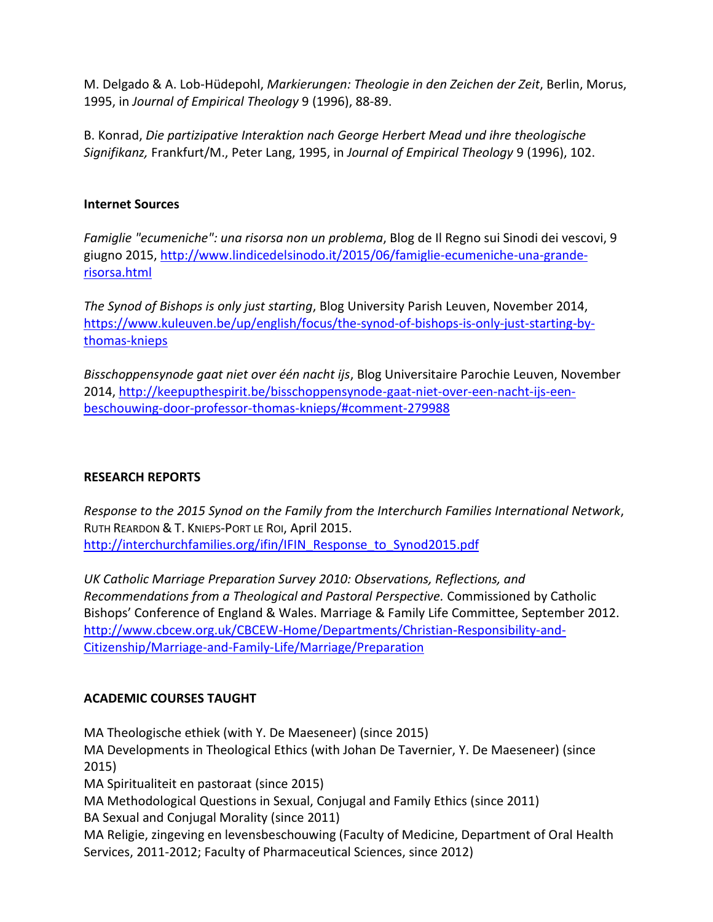M. Delgado & A. Lob-Hüdepohl, *Markierungen: Theologie in den Zeichen der Zeit*, Berlin, Morus, 1995, in *Journal of Empirical Theology* 9 (1996), 88-89.

B. Konrad, *Die partizipative Interaktion nach George Herbert Mead und ihre theologische Signifikanz,* Frankfurt/M., Peter Lang, 1995, in *Journal of Empirical Theology* 9 (1996), 102.

## **Internet Sources**

*Famiglie "ecumeniche": una risorsa non un problema*, Blog de Il Regno sui Sinodi dei vescovi, 9 giugno 2015[, http://www.lindicedelsinodo.it/2015/06/famiglie-ecumeniche-una-grande](http://www.lindicedelsinodo.it/2015/06/famiglie-ecumeniche-una-grande-risorsa.html)[risorsa.html](http://www.lindicedelsinodo.it/2015/06/famiglie-ecumeniche-una-grande-risorsa.html)

*The Synod of Bishops is only just starting*, Blog University Parish Leuven, November 2014, [https://www.kuleuven.be/up/english/focus/the-synod-of-bishops-is-only-just-starting-by](https://www.kuleuven.be/up/english/focus/the-synod-of-bishops-is-only-just-starting-by-thomas-knieps)[thomas-knieps](https://www.kuleuven.be/up/english/focus/the-synod-of-bishops-is-only-just-starting-by-thomas-knieps)

*Bisschoppensynode gaat niet over één nacht ijs*, Blog Universitaire Parochie Leuven, November 2014, [http://keepupthespirit.be/bisschoppensynode-gaat-niet-over-een-nacht-ijs-een](http://keepupthespirit.be/bisschoppensynode-gaat-niet-over-een-nacht-ijs-een-beschouwing-door-professor-thomas-knieps/#comment-279988)[beschouwing-door-professor-thomas-knieps/#comment-279988](http://keepupthespirit.be/bisschoppensynode-gaat-niet-over-een-nacht-ijs-een-beschouwing-door-professor-thomas-knieps/#comment-279988)

# **RESEARCH REPORTS**

*Response to the 2015 Synod on the Family from the Interchurch Families International Network*, RUTH REARDON & T. KNIEPS-PORT LE ROI, April 2015. [http://interchurchfamilies.org/ifin/IFIN\\_Response\\_to\\_Synod2015.pdf](http://interchurchfamilies.org/ifin/IFIN_Response_to_Synod2015.pdf)

*UK Catholic Marriage Preparation Survey 2010: Observations, Reflections, and Recommendations from a Theological and Pastoral Perspective.* Commissioned by Catholic Bishops' Conference of England & Wales. Marriage & Family Life Committee, September 2012. [http://www.cbcew.org.uk/CBCEW-Home/Departments/Christian-Responsibility-and-](http://www.cbcew.org.uk/CBCEW-Home/Departments/Christian-Responsibility-and-Citizenship/Marriage-and-Family-Life/Marriage/Preparation)[Citizenship/Marriage-and-Family-Life/Marriage/Preparation](http://www.cbcew.org.uk/CBCEW-Home/Departments/Christian-Responsibility-and-Citizenship/Marriage-and-Family-Life/Marriage/Preparation)

# **ACADEMIC COURSES TAUGHT**

MA Theologische ethiek (with Y. De Maeseneer) (since 2015) MA Developments in Theological Ethics (with Johan De Tavernier, Y. De Maeseneer) (since 2015) MA Spiritualiteit en pastoraat (since 2015) MA Methodological Questions in Sexual, Conjugal and Family Ethics (since 2011) BA Sexual and Conjugal Morality (since 2011) MA Religie, zingeving en levensbeschouwing (Faculty of Medicine, Department of Oral Health Services, 2011-2012; Faculty of Pharmaceutical Sciences, since 2012)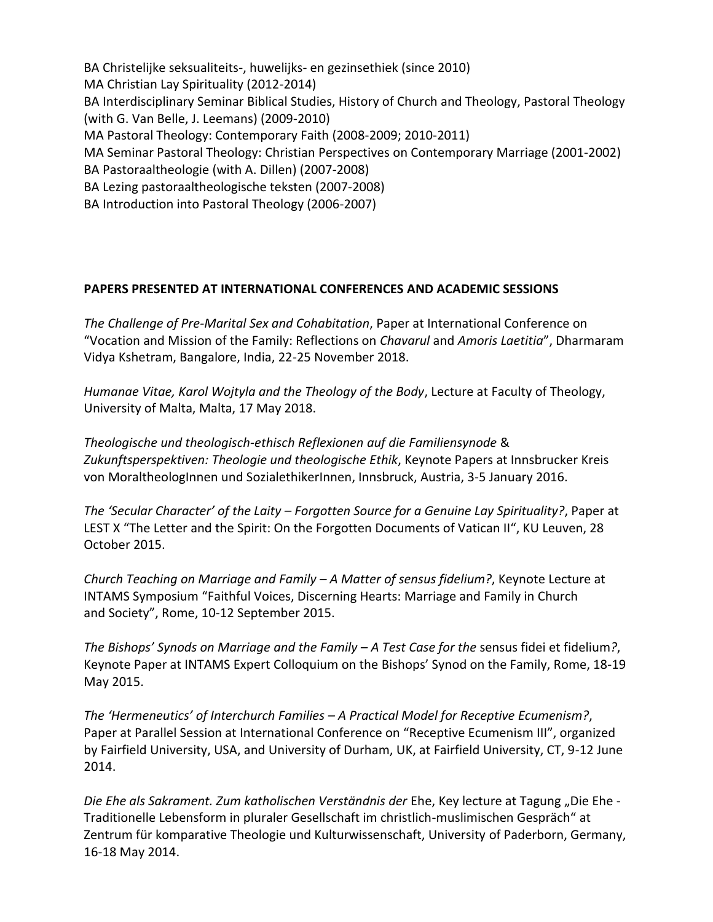BA Christelijke seksualiteits-, huwelijks- en gezinsethiek (since 2010) MA Christian Lay Spirituality (2012-2014) BA Interdisciplinary Seminar Biblical Studies, History of Church and Theology, Pastoral Theology (with G. Van Belle, J. Leemans) (2009-2010) MA Pastoral Theology: Contemporary Faith (2008-2009; 2010-2011) MA Seminar Pastoral Theology: Christian Perspectives on Contemporary Marriage (2001-2002) BA Pastoraaltheologie (with A. Dillen) (2007-2008) BA Lezing pastoraaltheologische teksten (2007-2008) BA Introduction into Pastoral Theology (2006-2007)

# **PAPERS PRESENTED AT INTERNATIONAL CONFERENCES AND ACADEMIC SESSIONS**

*The Challenge of Pre-Marital Sex and Cohabitation*, Paper at International Conference on "Vocation and Mission of the Family: Reflections on *Chavarul* and *Amoris Laetitia*", Dharmaram Vidya Kshetram, Bangalore, India, 22-25 November 2018.

*Humanae Vitae, Karol Wojtyla and the Theology of the Body*, Lecture at Faculty of Theology, University of Malta, Malta, 17 May 2018.

*Theologische und theologisch-ethisch Reflexionen auf die Familiensynode* & *Zukunftsperspektiven: Theologie und theologische Ethik*, Keynote Papers at Innsbrucker Kreis von MoraltheologInnen und SozialethikerInnen, Innsbruck, Austria, 3-5 January 2016.

*The 'Secular Character' of the Laity – Forgotten Source for a Genuine Lay Spirituality?*, Paper at LEST X "The Letter and the Spirit: On the Forgotten Documents of Vatican II", KU Leuven, 28 October 2015.

*Church Teaching on Marriage and Family – A Matter of sensus fidelium?*, Keynote Lecture at INTAMS Symposium "Faithful Voices, Discerning Hearts: Marriage and Family in Church and Society", Rome, 10-12 September 2015.

*The Bishops' Synods on Marriage and the Family – A Test Case for the* sensus fidei et fidelium*?*, Keynote Paper at INTAMS Expert Colloquium on the Bishops' Synod on the Family, Rome, 18-19 May 2015.

*The 'Hermeneutics' of Interchurch Families – A Practical Model for Receptive Ecumenism?*, Paper at Parallel Session at International Conference on "Receptive Ecumenism III", organized by Fairfield University, USA, and University of Durham, UK, at Fairfield University, CT, 9-12 June 2014.

*Die Ehe als Sakrament. Zum katholischen Verständnis der* Ehe, Key lecture at Tagung "Die Ehe - Traditionelle Lebensform in pluraler Gesellschaft im christlich-muslimischen Gespräch" at Zentrum für komparative Theologie und Kulturwissenschaft, University of Paderborn, Germany, 16-18 May 2014.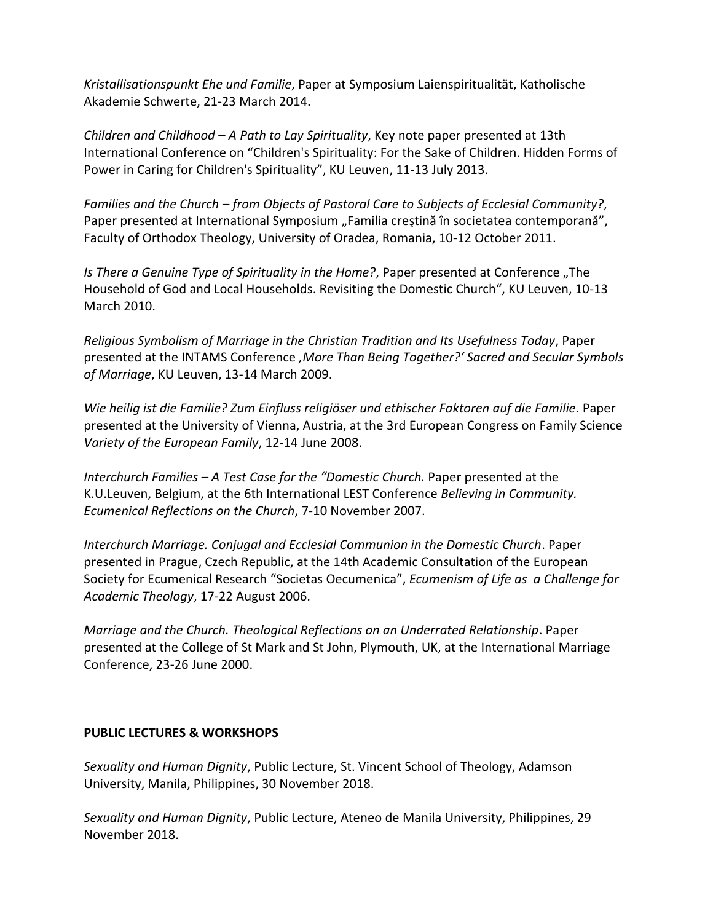*Kristallisationspunkt Ehe und Familie*, Paper at Symposium Laienspiritualität, Katholische Akademie Schwerte, 21-23 March 2014.

*Children and Childhood – A Path to Lay Spirituality*, Key note paper presented at 13th International Conference on "Children's Spirituality: For the Sake of Children. Hidden Forms of Power in Caring for Children's Spirituality", KU Leuven, 11-13 July 2013.

*Families and the Church – from Objects of Pastoral Care to Subjects of Ecclesial Community?*, Paper presented at International Symposium "Familia creștină în societatea contemporană", Faculty of Orthodox Theology, University of Oradea, Romania, 10-12 October 2011.

*Is There a Genuine Type of Spirituality in the Home?*, Paper presented at Conference "The Household of God and Local Households. Revisiting the Domestic Church", KU Leuven, 10-13 March 2010.

*Religious Symbolism of Marriage in the Christian Tradition and Its Usefulness Today*, Paper presented at the INTAMS Conference *'More Than Being Together?' Sacred and Secular Symbols of Marriage*, KU Leuven, 13-14 March 2009.

*Wie heilig ist die Familie? Zum Einfluss religiöser und ethischer Faktoren auf die Familie.* Paper presented at the University of Vienna, Austria, at the 3rd European Congress on Family Science *Variety of the European Family*, 12-14 June 2008.

*Interchurch Families – A Test Case for the "Domestic Church.* Paper presented at the K.U.Leuven, Belgium, at the 6th International LEST Conference *Believing in Community. Ecumenical Reflections on the Church*, 7-10 November 2007.

*Interchurch Marriage. Conjugal and Ecclesial Communion in the Domestic Church*. Paper presented in Prague, Czech Republic, at the 14th Academic Consultation of the European Society for Ecumenical Research "Societas Oecumenica", *Ecumenism of Life as a Challenge for Academic Theology*, 17-22 August 2006.

*Marriage and the Church. Theological Reflections on an Underrated Relationship*. Paper presented at the College of St Mark and St John, Plymouth, UK, at the International Marriage Conference, 23-26 June 2000.

### **PUBLIC LECTURES & WORKSHOPS**

*Sexuality and Human Dignity*, Public Lecture, St. Vincent School of Theology, Adamson University, Manila, Philippines, 30 November 2018.

*Sexuality and Human Dignity*, Public Lecture, Ateneo de Manila University, Philippines, 29 November 2018.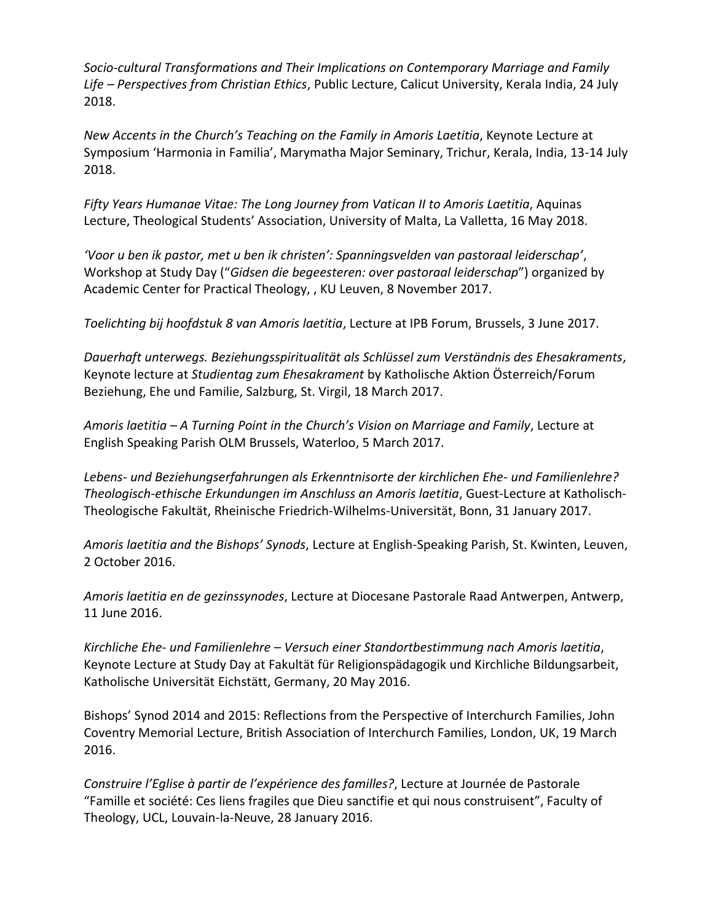*Socio-cultural Transformations and Their Implications on Contemporary Marriage and Family Life – Perspectives from Christian Ethics*, Public Lecture, Calicut University, Kerala India, 24 July 2018.

*New Accents in the Church's Teaching on the Family in Amoris Laetitia*, Keynote Lecture at Symposium 'Harmonia in Familia', Marymatha Major Seminary, Trichur, Kerala, India, 13-14 July 2018.

*Fifty Years Humanae Vitae: The Long Journey from Vatican II to Amoris Laetitia*, Aquinas Lecture, Theological Students' Association, University of Malta, La Valletta, 16 May 2018.

*'Voor u ben ik pastor, met u ben ik christen': Spanningsvelden van pastoraal leiderschap'*, Workshop at Study Day ("*Gidsen die begeesteren: over pastoraal leiderschap*") organized by Academic Center for Practical Theology, , KU Leuven, 8 November 2017.

*Toelichting bij hoofdstuk 8 van Amoris laetitia*, Lecture at IPB Forum, Brussels, 3 June 2017.

*Dauerhaft unterwegs. Beziehungsspiritualität als Schlüssel zum Verständnis des Ehesakraments*, Keynote lecture at *Studientag zum Ehesakrament* by Katholische Aktion Österreich/Forum Beziehung, Ehe und Familie, Salzburg, St. Virgil, 18 March 2017.

*Amoris laetitia – A Turning Point in the Church's Vision on Marriage and Family*, Lecture at English Speaking Parish OLM Brussels, Waterloo, 5 March 2017.

*Lebens- und Beziehungserfahrungen als Erkenntnisorte der kirchlichen Ehe- und Familienlehre? Theologisch-ethische Erkundungen im Anschluss an Amoris laetitia*, Guest-Lecture at Katholisch-Theologische Fakultät, Rheinische Friedrich-Wilhelms-Universität, Bonn, 31 January 2017.

*Amoris laetitia and the Bishops' Synods*, Lecture at English-Speaking Parish, St. Kwinten, Leuven, 2 October 2016.

*Amoris laetitia en de gezinssynodes*, Lecture at Diocesane Pastorale Raad Antwerpen, Antwerp, 11 June 2016.

*Kirchliche Ehe- und Familienlehre – Versuch einer Standortbestimmung nach Amoris laetitia*, Keynote Lecture at Study Day at Fakultät für Religionspädagogik und Kirchliche Bildungsarbeit, Katholische Universität Eichstätt, Germany, 20 May 2016.

Bishops' Synod 2014 and 2015: Reflections from the Perspective of Interchurch Families, John Coventry Memorial Lecture, British Association of Interchurch Families, London, UK, 19 March 2016.

*Construire l'Eglise à partir de l'expérience des familles?*, Lecture at Journée de Pastorale "Famille et société: Ces liens fragiles que Dieu sanctifie et qui nous construisent", Faculty of Theology, UCL, Louvain-la-Neuve, 28 January 2016.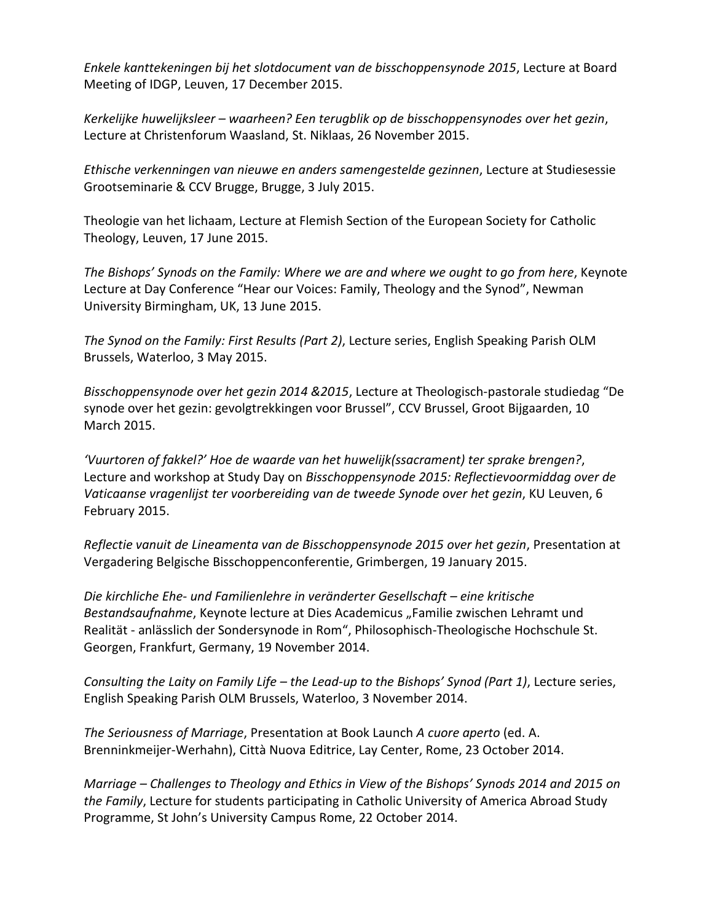*Enkele kanttekeningen bij het slotdocument van de bisschoppensynode 2015*, Lecture at Board Meeting of IDGP, Leuven, 17 December 2015.

*Kerkelijke huwelijksleer – waarheen? Een terugblik op de bisschoppensynodes over het gezin*, Lecture at Christenforum Waasland, St. Niklaas, 26 November 2015.

*Ethische verkenningen van nieuwe en anders samengestelde gezinnen*, Lecture at Studiesessie Grootseminarie & CCV Brugge, Brugge, 3 July 2015.

Theologie van het lichaam, Lecture at Flemish Section of the European Society for Catholic Theology, Leuven, 17 June 2015.

*The Bishops' Synods on the Family: Where we are and where we ought to go from here*, Keynote Lecture at Day Conference "Hear our Voices: Family, Theology and the Synod", Newman University Birmingham, UK, 13 June 2015.

*The Synod on the Family: First Results (Part 2)*, Lecture series, English Speaking Parish OLM Brussels, Waterloo, 3 May 2015.

*Bisschoppensynode over het gezin 2014 &2015*, Lecture at Theologisch-pastorale studiedag "De synode over het gezin: gevolgtrekkingen voor Brussel", CCV Brussel, Groot Bijgaarden, 10 March 2015.

*'Vuurtoren of fakkel?' Hoe de waarde van het huwelijk(ssacrament) ter sprake brengen?*, Lecture and workshop at Study Day on *Bisschoppensynode 2015: Reflectievoormiddag over de Vaticaanse vragenlijst ter voorbereiding van de tweede Synode over het gezin*, KU Leuven, 6 February 2015.

*Reflectie vanuit de Lineamenta van de Bisschoppensynode 2015 over het gezin*, Presentation at Vergadering Belgische Bisschoppenconferentie, Grimbergen, 19 January 2015.

*Die kirchliche Ehe- und Familienlehre in veränderter Gesellschaft – eine kritische Bestandsaufnahme*, Keynote lecture at Dies Academicus "Familie zwischen Lehramt und Realität - anlässlich der Sondersynode in Rom", Philosophisch-Theologische Hochschule St. Georgen, Frankfurt, Germany, 19 November 2014.

*Consulting the Laity on Family Life – the Lead-up to the Bishops' Synod (Part 1)*, Lecture series, English Speaking Parish OLM Brussels, Waterloo, 3 November 2014.

*The Seriousness of Marriage*, Presentation at Book Launch *A cuore aperto* (ed. A. Brenninkmeijer-Werhahn), Città Nuova Editrice, Lay Center, Rome, 23 October 2014.

*Marriage – Challenges to Theology and Ethics in View of the Bishops' Synods 2014 and 2015 on the Family*, Lecture for students participating in Catholic University of America Abroad Study Programme, St John's University Campus Rome, 22 October 2014.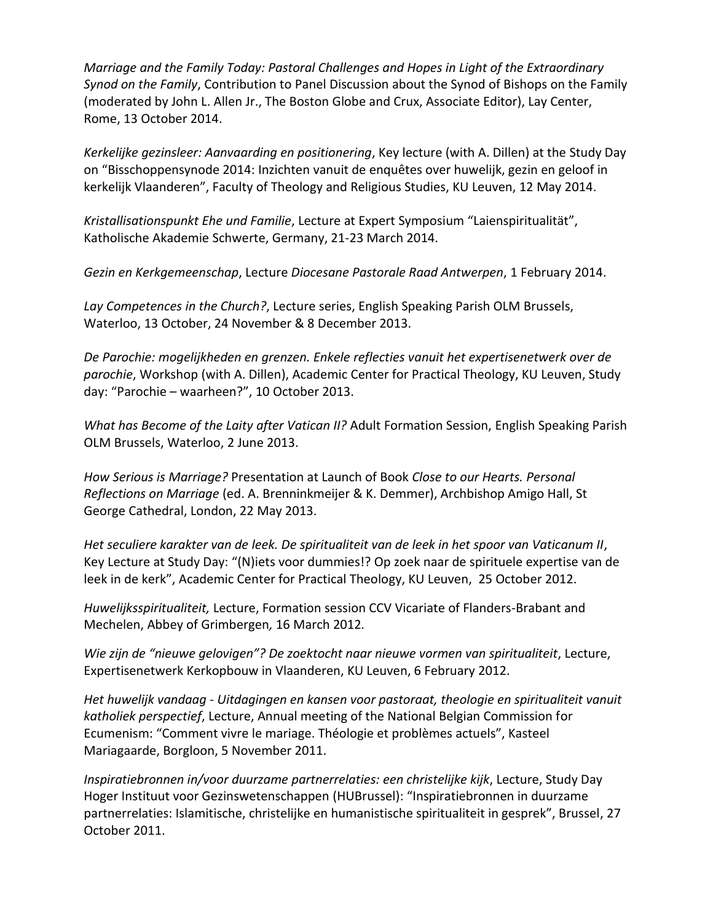*Marriage and the Family Today: Pastoral Challenges and Hopes in Light of the Extraordinary Synod on the Family*, Contribution to Panel Discussion about the Synod of Bishops on the Family (moderated by John L. Allen Jr., The Boston Globe and Crux, Associate Editor), Lay Center, Rome, 13 October 2014.

*Kerkelijke gezinsleer: Aanvaarding en positionering*, Key lecture (with A. Dillen) at the Study Day on "Bisschoppensynode 2014: Inzichten vanuit de enquêtes over huwelijk, gezin en geloof in kerkelijk Vlaanderen", Faculty of Theology and Religious Studies, KU Leuven, 12 May 2014.

*Kristallisationspunkt Ehe und Familie*, Lecture at Expert Symposium "Laienspiritualität", Katholische Akademie Schwerte, Germany, 21-23 March 2014.

*Gezin en Kerkgemeenschap*, Lecture *Diocesane Pastorale Raad Antwerpen*, 1 February 2014.

*Lay Competences in the Church?*, Lecture series, English Speaking Parish OLM Brussels, Waterloo, 13 October, 24 November & 8 December 2013.

*De Parochie: mogelijkheden en grenzen. Enkele reflecties vanuit het expertisenetwerk over de parochie*, Workshop (with A. Dillen), Academic Center for Practical Theology, KU Leuven, Study day: "Parochie – waarheen?", 10 October 2013.

*What has Become of the Laity after Vatican II?* Adult Formation Session, English Speaking Parish OLM Brussels, Waterloo, 2 June 2013.

*How Serious is Marriage?* Presentation at Launch of Book *Close to our Hearts. Personal Reflections on Marriage* (ed. A. Brenninkmeijer & K. Demmer), Archbishop Amigo Hall, St George Cathedral, London, 22 May 2013.

*Het seculiere karakter van de leek. De spiritualiteit van de leek in het spoor van Vaticanum II*, Key Lecture at Study Day: "(N)iets voor dummies!? Op zoek naar de spirituele expertise van de leek in de kerk", Academic Center for Practical Theology, KU Leuven, 25 October 2012.

*Huwelijksspiritualiteit,* Lecture, Formation session CCV Vicariate of Flanders-Brabant and Mechelen, Abbey of Grimbergen*,* 16 March 2012*.*

*Wie zijn de "nieuwe gelovigen"? De zoektocht naar nieuwe vormen van spiritualiteit*, Lecture, Expertisenetwerk Kerkopbouw in Vlaanderen, KU Leuven, 6 February 2012.

*Het huwelijk vandaag - Uitdagingen en kansen voor pastoraat, theologie en spiritualiteit vanuit katholiek perspectief*, Lecture, Annual meeting of the National Belgian Commission for Ecumenism: "Comment vivre le mariage. Théologie et problèmes actuels", Kasteel Mariagaarde, Borgloon, 5 November 2011.

*Inspiratiebronnen in/voor duurzame partnerrelaties: een christelijke kijk*, Lecture, Study Day Hoger Instituut voor Gezinswetenschappen (HUBrussel): "Inspiratiebronnen in duurzame partnerrelaties: Islamitische, christelijke en humanistische spiritualiteit in gesprek", Brussel, 27 October 2011.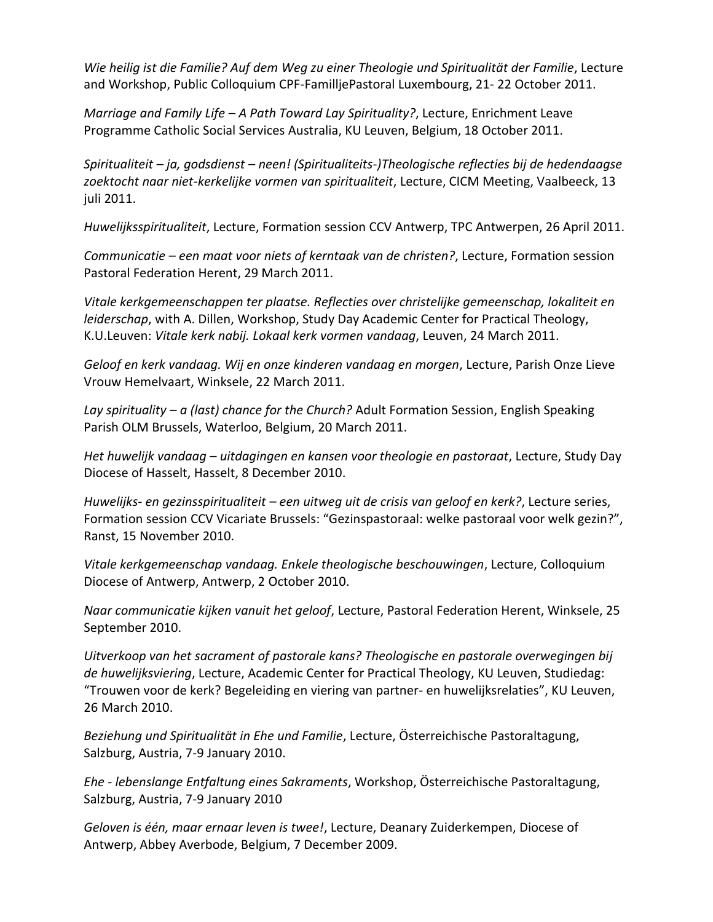*Wie heilig ist die Familie? Auf dem Weg zu einer Theologie und Spiritualität der Familie*, Lecture and Workshop, Public Colloquium CPF-FamilljePastoral Luxembourg, 21- 22 October 2011.

*Marriage and Family Life – A Path Toward Lay Spirituality?*, Lecture, Enrichment Leave Programme Catholic Social Services Australia, KU Leuven, Belgium, 18 October 2011.

*Spiritualiteit – ja, godsdienst – neen! (Spiritualiteits-)Theologische reflecties bij de hedendaagse zoektocht naar niet-kerkelijke vormen van spiritualiteit*, Lecture, CICM Meeting, Vaalbeeck, 13 juli 2011.

*Huwelijksspiritualiteit*, Lecture, Formation session CCV Antwerp, TPC Antwerpen, 26 April 2011.

*Communicatie – een maat voor niets of kerntaak van de christen?*, Lecture, Formation session Pastoral Federation Herent, 29 March 2011.

*Vitale kerkgemeenschappen ter plaatse. Reflecties over christelijke gemeenschap, lokaliteit en leiderschap*, with A. Dillen, Workshop, Study Day Academic Center for Practical Theology, K.U.Leuven: *Vitale kerk nabij. Lokaal kerk vormen vandaag*, Leuven, 24 March 2011.

*Geloof en kerk vandaag. Wij en onze kinderen vandaag en morgen*, Lecture, Parish Onze Lieve Vrouw Hemelvaart, Winksele, 22 March 2011.

*Lay spirituality – a (last) chance for the Church?* Adult Formation Session, English Speaking Parish OLM Brussels, Waterloo, Belgium, 20 March 2011.

*Het huwelijk vandaag – uitdagingen en kansen voor theologie en pastoraat*, Lecture, Study Day Diocese of Hasselt, Hasselt, 8 December 2010.

*Huwelijks- en gezinsspiritualiteit – een uitweg uit de crisis van geloof en kerk?*, Lecture series, Formation session CCV Vicariate Brussels: "Gezinspastoraal: welke pastoraal voor welk gezin?", Ranst, 15 November 2010.

*Vitale kerkgemeenschap vandaag. Enkele theologische beschouwingen*, Lecture, Colloquium Diocese of Antwerp, Antwerp, 2 October 2010.

*Naar communicatie kijken vanuit het geloof*, Lecture, Pastoral Federation Herent, Winksele, 25 September 2010.

*Uitverkoop van het sacrament of pastorale kans? Theologische en pastorale overwegingen bij de huwelijksviering*, Lecture, Academic Center for Practical Theology, KU Leuven, Studiedag: "Trouwen voor de kerk? Begeleiding en viering van partner- en huwelijksrelaties", KU Leuven, 26 March 2010.

*Beziehung und Spiritualität in Ehe und Familie*, Lecture, Österreichische Pastoraltagung, Salzburg, Austria, 7-9 January 2010.

*Ehe - lebenslange Entfaltung eines Sakraments*, Workshop, Österreichische Pastoraltagung, Salzburg, Austria, 7-9 January 2010

*Geloven is één, maar ernaar leven is twee!*, Lecture, Deanary Zuiderkempen, Diocese of Antwerp, Abbey Averbode, Belgium, 7 December 2009.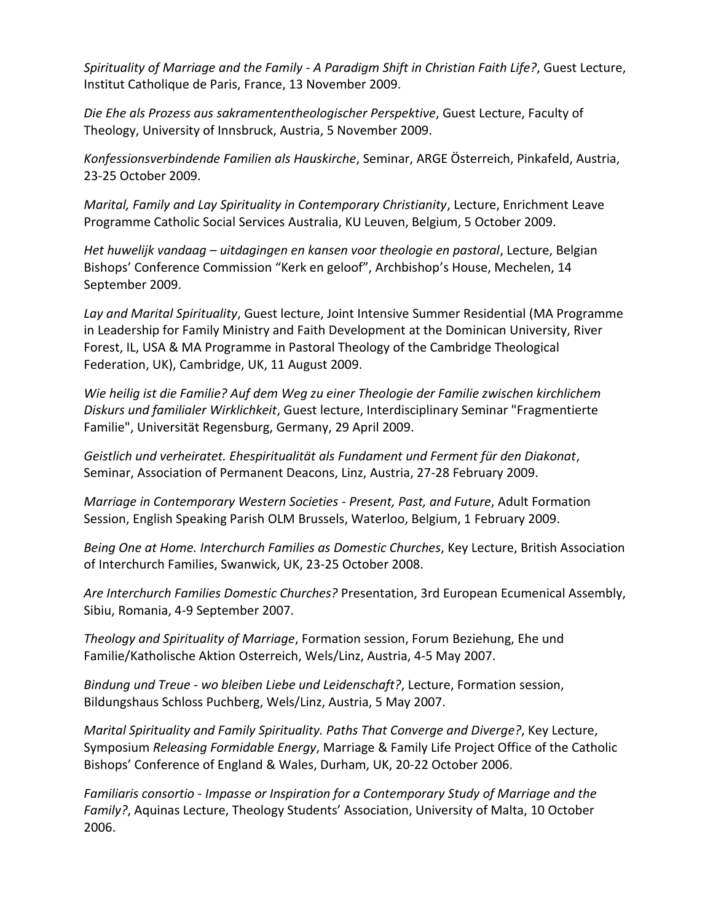*Spirituality of Marriage and the Family - A Paradigm Shift in Christian Faith Life?*, Guest Lecture, Institut Catholique de Paris, France, 13 November 2009.

*Die Ehe als Prozess aus sakramententheologischer Perspektive*, Guest Lecture, Faculty of Theology, University of Innsbruck, Austria, 5 November 2009.

*Konfessionsverbindende Familien als Hauskirche*, Seminar, ARGE Österreich, Pinkafeld, Austria, 23-25 October 2009.

*Marital, Family and Lay Spirituality in Contemporary Christianity*, Lecture, Enrichment Leave Programme Catholic Social Services Australia, KU Leuven, Belgium, 5 October 2009.

*Het huwelijk vandaag – uitdagingen en kansen voor theologie en pastoral*, Lecture, Belgian Bishops' Conference Commission "Kerk en geloof", Archbishop's House, Mechelen, 14 September 2009.

*Lay and Marital Spirituality*, Guest lecture, Joint Intensive Summer Residential (MA Programme in Leadership for Family Ministry and Faith Development at the Dominican University, River Forest, IL, USA & MA Programme in Pastoral Theology of the Cambridge Theological Federation, UK), Cambridge, UK, 11 August 2009.

*Wie heilig ist die Familie? Auf dem Weg zu einer Theologie der Familie zwischen kirchlichem Diskurs und familialer Wirklichkeit*, Guest lecture, Interdisciplinary Seminar "Fragmentierte Familie", Universität Regensburg, Germany, 29 April 2009.

*Geistlich und verheiratet. Ehespiritualität als Fundament und Ferment für den Diakonat*, Seminar, Association of Permanent Deacons, Linz, Austria, 27-28 February 2009.

*Marriage in Contemporary Western Societies - Present, Past, and Future*, Adult Formation Session, English Speaking Parish OLM Brussels, Waterloo, Belgium, 1 February 2009.

*Being One at Home. Interchurch Families as Domestic Churches*, Key Lecture, British Association of Interchurch Families, Swanwick, UK, 23-25 October 2008.

*Are Interchurch Families Domestic Churches?* Presentation, 3rd European Ecumenical Assembly, Sibiu, Romania, 4-9 September 2007.

*Theology and Spirituality of Marriage*, Formation session, Forum Beziehung, Ehe und Familie/Katholische Aktion Osterreich, Wels/Linz, Austria, 4-5 May 2007.

*Bindung und Treue - wo bleiben Liebe und Leidenschaft?*, Lecture, Formation session, Bildungshaus Schloss Puchberg, Wels/Linz, Austria, 5 May 2007.

*Marital Spirituality and Family Spirituality. Paths That Converge and Diverge?*, Key Lecture, Symposium *Releasing Formidable Energy*, Marriage & Family Life Project Office of the Catholic Bishops' Conference of England & Wales, Durham, UK, 20-22 October 2006.

*Familiaris consortio - Impasse or Inspiration for a Contemporary Study of Marriage and the Family?*, Aquinas Lecture, Theology Students' Association, University of Malta, 10 October 2006.